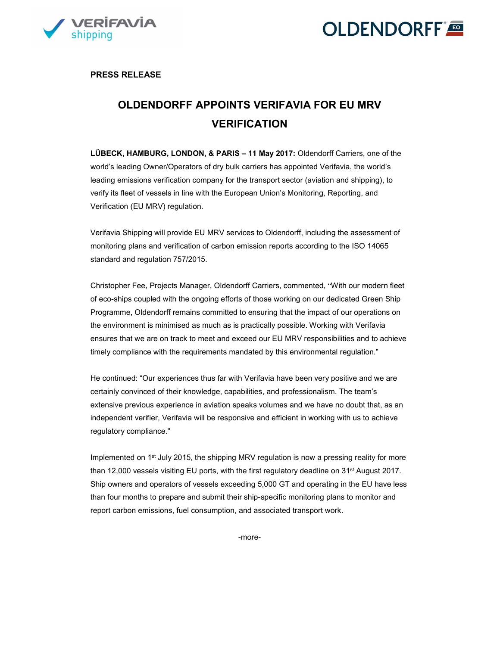



PRESS RELEASE

## OLDENDORFF APPOINTS VERIFAVIA FOR EU MRV VERIFICATION

LÜBECK, HAMBURG, LONDON, & PARIS – 11 May 2017: Oldendorff Carriers, one of the world's leading Owner/Operators of dry bulk carriers has appointed Verifavia, the world's leading emissions verification company for the transport sector (aviation and shipping), to verify its fleet of vessels in line with the European Union's Monitoring, Reporting, and Verification (EU MRV) regulation.

Verifavia Shipping will provide EU MRV services to Oldendorff, including the assessment of monitoring plans and verification of carbon emission reports according to the ISO 14065 standard and regulation 757/2015.

Christopher Fee, Projects Manager, Oldendorff Carriers, commented, "With our modern fleet of eco-ships coupled with the ongoing efforts of those working on our dedicated Green Ship Programme, Oldendorff remains committed to ensuring that the impact of our operations on the environment is minimised as much as is practically possible. Working with Verifavia ensures that we are on track to meet and exceed our EU MRV responsibilities and to achieve timely compliance with the requirements mandated by this environmental regulation."

He continued: "Our experiences thus far with Verifavia have been very positive and we are certainly convinced of their knowledge, capabilities, and professionalism. The team's extensive previous experience in aviation speaks volumes and we have no doubt that, as an independent verifier, Verifavia will be responsive and efficient in working with us to achieve regulatory compliance."

Implemented on 1<sup>st</sup> July 2015, the shipping MRV regulation is now a pressing reality for more than 12,000 vessels visiting EU ports, with the first regulatory deadline on 31st August 2017. Ship owners and operators of vessels exceeding 5,000 GT and operating in the EU have less than four months to prepare and submit their ship-specific monitoring plans to monitor and report carbon emissions, fuel consumption, and associated transport work.

-more-